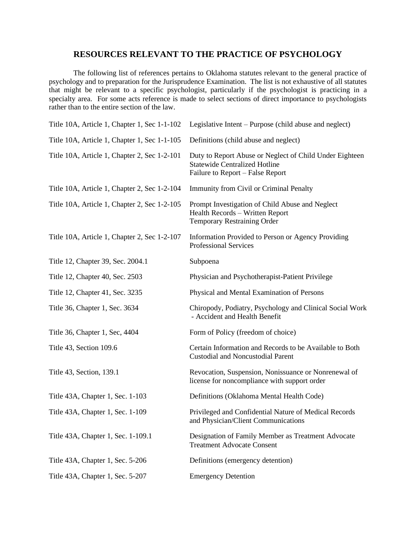## **RESOURCES RELEVANT TO THE PRACTICE OF PSYCHOLOGY**

The following list of references pertains to Oklahoma statutes relevant to the general practice of psychology and to preparation for the Jurisprudence Examination. The list is not exhaustive of all statutes that might be relevant to a specific psychologist, particularly if the psychologist is practicing in a specialty area. For some acts reference is made to select sections of direct importance to psychologists rather than to the entire section of the law.

| Title 10A, Article 1, Chapter 1, Sec 1-1-102 | Legislative Intent – Purpose (child abuse and neglect)                                                                              |
|----------------------------------------------|-------------------------------------------------------------------------------------------------------------------------------------|
| Title 10A, Article 1, Chapter 1, Sec 1-1-105 | Definitions (child abuse and neglect)                                                                                               |
| Title 10A, Article 1, Chapter 2, Sec 1-2-101 | Duty to Report Abuse or Neglect of Child Under Eighteen<br><b>Statewide Centralized Hotline</b><br>Failure to Report - False Report |
| Title 10A, Article 1, Chapter 2, Sec 1-2-104 | Immunity from Civil or Criminal Penalty                                                                                             |
| Title 10A, Article 1, Chapter 2, Sec 1-2-105 | Prompt Investigation of Child Abuse and Neglect<br>Health Records - Written Report<br>Temporary Restraining Order                   |
| Title 10A, Article 1, Chapter 2, Sec 1-2-107 | Information Provided to Person or Agency Providing<br><b>Professional Services</b>                                                  |
| Title 12, Chapter 39, Sec. 2004.1            | Subpoena                                                                                                                            |
| Title 12, Chapter 40, Sec. 2503              | Physician and Psychotherapist-Patient Privilege                                                                                     |
| Title 12, Chapter 41, Sec. 3235              | Physical and Mental Examination of Persons                                                                                          |
| Title 36, Chapter 1, Sec. 3634               | Chiropody, Podiatry, Psychology and Clinical Social Work<br>- Accident and Health Benefit                                           |
| Title 36, Chapter 1, Sec, 4404               | Form of Policy (freedom of choice)                                                                                                  |
| Title 43, Section 109.6                      | Certain Information and Records to be Available to Both<br><b>Custodial and Noncustodial Parent</b>                                 |
| Title 43, Section, 139.1                     | Revocation, Suspension, Nonissuance or Nonrenewal of<br>license for noncompliance with support order                                |
| Title 43A, Chapter 1, Sec. 1-103             | Definitions (Oklahoma Mental Health Code)                                                                                           |
| Title 43A, Chapter 1, Sec. 1-109             | Privileged and Confidential Nature of Medical Records<br>and Physician/Client Communications                                        |
| Title 43A, Chapter 1, Sec. 1-109.1           | Designation of Family Member as Treatment Advocate<br><b>Treatment Advocate Consent</b>                                             |
| Title 43A, Chapter 1, Sec. 5-206             | Definitions (emergency detention)                                                                                                   |
| Title 43A, Chapter 1, Sec. 5-207             | <b>Emergency Detention</b>                                                                                                          |
|                                              |                                                                                                                                     |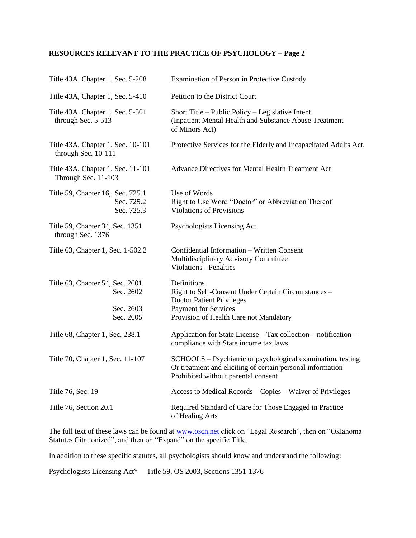## **RESOURCES RELEVANT TO THE PRACTICE OF PSYCHOLOGY – Page 2**

| Title 43A, Chapter 1, Sec. 5-208                                       | Examination of Person in Protective Custody                                                                                                                                     |
|------------------------------------------------------------------------|---------------------------------------------------------------------------------------------------------------------------------------------------------------------------------|
| Title 43A, Chapter 1, Sec. 5-410                                       | Petition to the District Court                                                                                                                                                  |
| Title 43A, Chapter 1, Sec. 5-501<br>through Sec. 5-513                 | Short Title – Public Policy – Legislative Intent<br>(Inpatient Mental Health and Substance Abuse Treatment<br>of Minors Act)                                                    |
| Title 43A, Chapter 1, Sec. 10-101<br>through Sec. 10-111               | Protective Services for the Elderly and Incapacitated Adults Act.                                                                                                               |
| Title 43A, Chapter 1, Sec. 11-101<br>Through Sec. 11-103               | Advance Directives for Mental Health Treatment Act                                                                                                                              |
| Title 59, Chapter 16, Sec. 725.1<br>Sec. 725.2<br>Sec. 725.3           | Use of Words<br>Right to Use Word "Doctor" or Abbreviation Thereof<br><b>Violations of Provisions</b>                                                                           |
| Title 59, Chapter 34, Sec. 1351<br>through Sec. 1376                   | Psychologists Licensing Act                                                                                                                                                     |
| Title 63, Chapter 1, Sec. 1-502.2                                      | Confidential Information - Written Consent<br>Multidisciplinary Advisory Committee<br><b>Violations - Penalties</b>                                                             |
| Title 63, Chapter 54, Sec. 2601<br>Sec. 2602<br>Sec. 2603<br>Sec. 2605 | Definitions<br>Right to Self-Consent Under Certain Circumstances -<br><b>Doctor Patient Privileges</b><br><b>Payment for Services</b><br>Provision of Health Care not Mandatory |
| Title 68, Chapter 1, Sec. 238.1                                        | Application for State License - Tax collection - notification -<br>compliance with State income tax laws                                                                        |
| Title 70, Chapter 1, Sec. 11-107                                       | SCHOOLS - Psychiatric or psychological examination, testing<br>Or treatment and eliciting of certain personal information<br>Prohibited without parental consent                |
| Title 76, Sec. 19                                                      | Access to Medical Records – Copies – Waiver of Privileges                                                                                                                       |
| Title 76, Section 20.1                                                 | Required Standard of Care for Those Engaged in Practice<br>of Healing Arts                                                                                                      |

The full text of these laws can be found at [www.oscn.net](http://www.oscn.net/) click on "Legal Research", then on "Oklahoma Statutes Citationized", and then on "Expand" on the specific Title.

In addition to these specific statutes, all psychologists should know and understand the following:

Psychologists Licensing Act\* Title 59, OS 2003, Sections 1351-1376